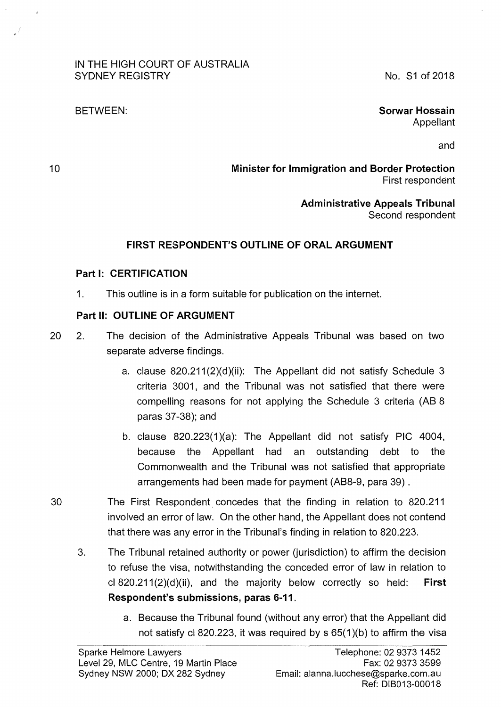#### IN THE HIGH COURT OF AUSTRALIA SYDNEY REGISTRY

No. S1 of 2018

#### BETWEEN:

#### **Sorwar Hossain**  Appellant

and

**Minister for Immigration and Border Protection**  First respondent

> **Administrative Appeals Tribunal**  Second respondent

## **FIRST RESPONDENT'S OUTLINE OF ORAL ARGUMENT**

## **Part 1: CERTIFICATION**

1. This outline is in a form suitable for publication on the internet.

# **Part II: OUTLINE OF ARGUMENT**

- 20 2. The decision of the Administrative Appeals Tribunal was based on two separate adverse findings.
	- a. clause  $820.211(2)(d)(ii)$ : The Appellant did not satisfy Schedule 3 criteria 3001, and the Tribunal was not satisfied that there were compelling reasons for not applying the Schedule 3 criteria (AB 8 paras 37-38); and
	- b. clause 820.223(1 )(a): The Appellant did not satisfy PlC 4004, because the Appellant had an outstanding debt to the Commonwealth and the Tribunal was not satisfied that appropriate arrangements had been made for payment (AB8-9, para 39).
- 30 The First Respondent concedes that the finding in relation to 820.211 involved an error of law. On the other hand, the Appellant does not contend that there was any error in the Tribunal's finding in relation to 820.223.
	- 3. The Tribunal retained authority or power (jurisdiction) to affirm the decision to refuse the visa, notwithstanding the conceded error of law in relation to cl 820.211 (2)(d)(ii), and the majority below correctly so held: **First Respondent's submissions, paras 6-11.** 
		- a. Because the Tribunal found (without any error) that the Appellant did not satisfy cl 820.223, it was required by  $s$  65(1)(b) to affirm the visa

10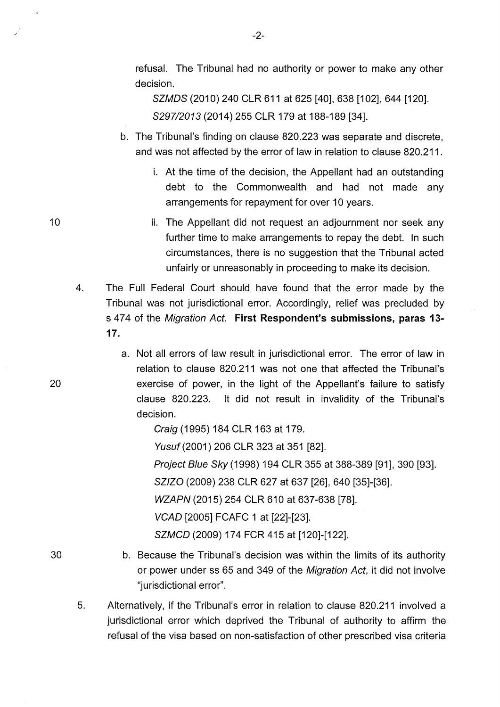refusal. The Tribunal had no authority or power to make any other decision.

SZMDS (2010) 240 CLR 611 at 625 [40], 638 [102], 644 [120]. *8297/2013* (2014) 255 CLR 179 at 188-189 [34].

- b. The Tribunal's finding on clause 820.223 was separate and discrete, and was not affected by the error of law in relation to clause 820.211.
	- i. At the time of the decision, the Appellant had an outstanding debt to the Commonwealth and had not made any arrangements for repayment for over 10 years.
	- ii. The Appellant did not request an adjournment nor seek any further time to make arrangements to repay the debt. In such circumstances, there is no suggestion that the Tribunal acted unfairly or unreasonably in proceeding to make its decision.
- 4. The Full Federal Court should have found that the error made by the Tribunal was not jurisdictional error. Accordingly, relief was precluded by s 4 7 4 of the Migration Act. **First Respondent's submissions, paras 13-** 17.
	- a. Not all errors of law result in jurisdictional error. The error of law in relation to clause 820.211 was not one that affected the Tribunal's exercise of power, in the light of the Appellant's failure to satisfy clause 820.223. lt did not result in invalidity of the Tribunal's decision.

Craig (1995) 184 CLR 163 at 179.

Yusuf (2001) 206 CLR 323 at 351 [82].

Project Blue Sky (1998) 194 CLR 355 at 388-389 [91], 390 [93].

SZIZO (2009) 238 CLR 627 at 637 [26], 640 [35]-[36].

WZAPN (2015) 254 CLR 610 at 637-638 [78].

VCAD [2005] FCAFC 1 at [22]-[23].

SZMCD (2009) 174 FCR 415 at [120]-[122].

- b. Because the Tribunal's decision was within the limits of its authority or power under ss 65 and 349 of the Migration Act, it did not involve "jurisdictional error".
- 5. Alternatively, if the Tribunal's error in relation to clause 820.211 involved a jurisdictional error which deprived the Tribunal of authority to affirm the refusal of the visa based on non-satisfaction of other prescribed visa criteria

10

20

30